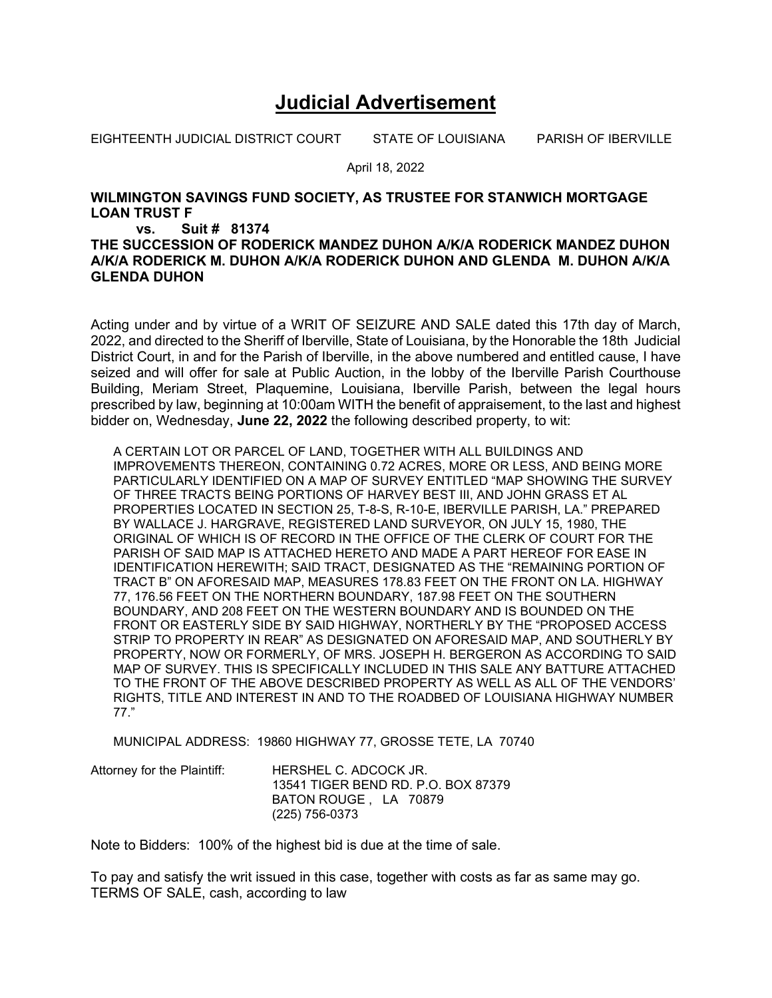## **Judicial Advertisement**

EIGHTEENTH JUDICIAL DISTRICT COURT STATE OF LOUISIANA PARISH OF IBERVILLE

April 18, 2022

## **WILMINGTON SAVINGS FUND SOCIETY, AS TRUSTEE FOR STANWICH MORTGAGE LOAN TRUST F**

## **vs. Suit # 81374**

## **THE SUCCESSION OF RODERICK MANDEZ DUHON A/K/A RODERICK MANDEZ DUHON A/K/A RODERICK M. DUHON A/K/A RODERICK DUHON AND GLENDA M. DUHON A/K/A GLENDA DUHON**

Acting under and by virtue of a WRIT OF SEIZURE AND SALE dated this 17th day of March, 2022, and directed to the Sheriff of Iberville, State of Louisiana, by the Honorable the 18th Judicial District Court, in and for the Parish of Iberville, in the above numbered and entitled cause, I have seized and will offer for sale at Public Auction, in the lobby of the Iberville Parish Courthouse Building, Meriam Street, Plaquemine, Louisiana, Iberville Parish, between the legal hours prescribed by law, beginning at 10:00am WITH the benefit of appraisement, to the last and highest bidder on, Wednesday, **June 22, 2022** the following described property, to wit:

A CERTAIN LOT OR PARCEL OF LAND, TOGETHER WITH ALL BUILDINGS AND IMPROVEMENTS THEREON, CONTAINING 0.72 ACRES, MORE OR LESS, AND BEING MORE PARTICULARLY IDENTIFIED ON A MAP OF SURVEY ENTITLED "MAP SHOWING THE SURVEY OF THREE TRACTS BEING PORTIONS OF HARVEY BEST III, AND JOHN GRASS ET AL PROPERTIES LOCATED IN SECTION 25, T-8-S, R-10-E, IBERVILLE PARISH, LA." PREPARED BY WALLACE J. HARGRAVE, REGISTERED LAND SURVEYOR, ON JULY 15, 1980, THE ORIGINAL OF WHICH IS OF RECORD IN THE OFFICE OF THE CLERK OF COURT FOR THE PARISH OF SAID MAP IS ATTACHED HERETO AND MADE A PART HEREOF FOR EASE IN IDENTIFICATION HEREWITH; SAID TRACT, DESIGNATED AS THE "REMAINING PORTION OF TRACT B" ON AFORESAID MAP, MEASURES 178.83 FEET ON THE FRONT ON LA. HIGHWAY 77, 176.56 FEET ON THE NORTHERN BOUNDARY, 187.98 FEET ON THE SOUTHERN BOUNDARY, AND 208 FEET ON THE WESTERN BOUNDARY AND IS BOUNDED ON THE FRONT OR EASTERLY SIDE BY SAID HIGHWAY, NORTHERLY BY THE "PROPOSED ACCESS STRIP TO PROPERTY IN REAR" AS DESIGNATED ON AFORESAID MAP, AND SOUTHERLY BY PROPERTY, NOW OR FORMERLY, OF MRS. JOSEPH H. BERGERON AS ACCORDING TO SAID MAP OF SURVEY. THIS IS SPECIFICALLY INCLUDED IN THIS SALE ANY BATTURE ATTACHED TO THE FRONT OF THE ABOVE DESCRIBED PROPERTY AS WELL AS ALL OF THE VENDORS' RIGHTS, TITLE AND INTEREST IN AND TO THE ROADBED OF LOUISIANA HIGHWAY NUMBER 77."

MUNICIPAL ADDRESS: 19860 HIGHWAY 77, GROSSE TETE, LA 70740

| Attorney for the Plaintiff: | HERSHEL C. ADCOCK JR.               |
|-----------------------------|-------------------------------------|
|                             | 13541 TIGER BEND RD. P.O. BOX 87379 |
|                             | BATON ROUGE . LA 70879              |
|                             | (225) 756-0373                      |

Note to Bidders: 100% of the highest bid is due at the time of sale.

To pay and satisfy the writ issued in this case, together with costs as far as same may go. TERMS OF SALE, cash, according to law